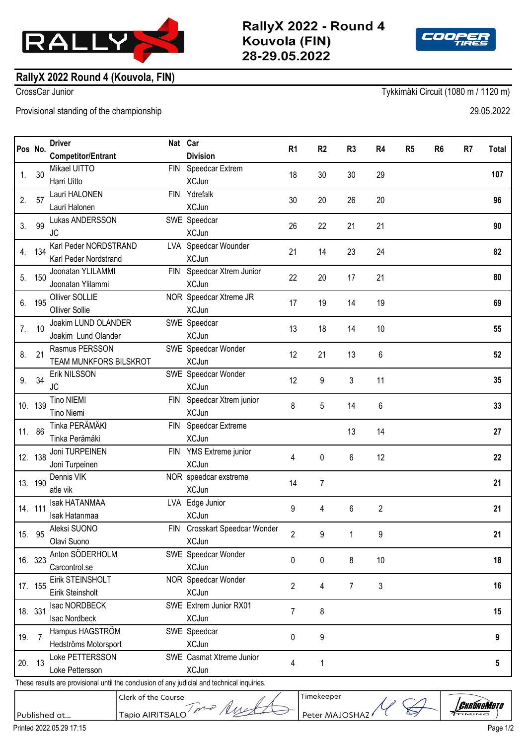

RallyX 2022 - Round 4 Kouvola (FIN) 28-29.05.2022

Timekeeper

Peter MAJOSHAZ



## **RallyX 2022 Round 4 (Kouvola, FIN)**

CrossCar Junior Tykkimäki Circuit (1080 m / 1120 m)

Provisional standing of the championship 29.05.2022

|                | Pos No.            | <b>Driver</b>                             |            | Nat Car                                   | R <sub>1</sub> | R <sub>2</sub> | R <sub>3</sub> | R4 | R <sub>5</sub> | R <sub>6</sub> | R7 | Total |
|----------------|--------------------|-------------------------------------------|------------|-------------------------------------------|----------------|----------------|----------------|----|----------------|----------------|----|-------|
|                | 30                 | <b>Competitor/Entrant</b><br>Mikael UITTO | <b>FIN</b> | <b>Division</b><br>Speedcar Extrem        | 18             | 30             | 30             | 29 |                |                |    |       |
| $\mathbf{1}$ . |                    | Harri Uitto                               |            | <b>XCJun</b>                              |                |                |                |    |                |                |    | 107   |
| 2.             | 57                 | Lauri HALONEN                             | <b>FIN</b> | Ydrefalk                                  |                |                |                |    |                |                |    |       |
|                |                    | Lauri Halonen                             |            | <b>XCJun</b>                              | 30             | 20             | 26             | 20 |                |                |    | 96    |
|                | 99                 | Lukas ANDERSSON                           |            | SWE Speedcar                              | 26             | 22             | 21             | 21 |                |                |    |       |
| 3.             |                    | JC                                        |            | <b>XCJun</b>                              |                |                |                |    |                |                |    | 90    |
| 4.             | 134                | Karl Peder NORDSTRAND                     |            | LVA Speedcar Wounder                      | 21             | 14             | 23             | 24 |                |                |    |       |
|                |                    | Karl Peder Nordstrand                     |            | <b>XCJun</b>                              |                |                |                |    |                |                |    | 82    |
| 5.             | 150                | Joonatan YLILAMMI                         | <b>FIN</b> | Speedcar Xtrem Junior                     | 22             | 20             | 17             | 21 |                |                |    |       |
|                |                    | Joonatan Ylilammi                         |            | <b>XCJun</b>                              |                |                |                |    |                |                |    | 80    |
| 6.             | 195                | Olliver SOLLIE                            |            | NOR Speedcar Xtreme JR                    | 17             | 19             | 14             | 19 |                |                |    | 69    |
|                |                    | <b>Olliver Sollie</b>                     |            | <b>XCJun</b>                              |                |                |                |    |                |                |    |       |
| 7.             | 10                 | Joakim LUND OLANDER                       |            | SWE Speedcar                              | 13             | 18             | 14             | 10 |                |                |    | 55    |
|                |                    | Joakim Lund Olander                       |            | <b>XCJun</b>                              |                |                |                |    |                |                |    |       |
| 8.             | 21                 | Rasmus PERSSON                            |            | SWE Speedcar Wonder                       | 12             | 21             | 13             | 6  |                |                |    | 52    |
|                |                    | TEAM MUNKFORS BILSKROT                    |            | <b>XCJun</b>                              |                |                |                |    |                |                |    |       |
| 9.             | 34                 | Erik NILSSON                              |            | SWE Speedcar Wonder                       | 12             | 9              | 3              | 11 |                |                |    | 35    |
|                |                    | JC                                        |            | <b>XCJun</b>                              |                |                |                |    |                |                |    |       |
|                | 10. 139            | <b>Tino NIEMI</b>                         | <b>FIN</b> | Speedcar Xtrem junior                     | 8              | 5              | 14             | 6  |                |                |    | 33    |
|                |                    | <b>Tino Niemi</b>                         |            | <b>XCJun</b>                              |                |                |                |    |                |                |    |       |
|                | 11. 86             | Tinka PERÄMÄKI                            | FIN        | Speedcar Extreme                          |                |                | 13             | 14 |                |                |    | 27    |
|                |                    | Tinka Perämäki                            |            | <b>XCJun</b>                              |                |                |                |    |                |                |    |       |
|                | 12. 138            | Joni TURPEINEN                            | FIN        | YMS Extreme junior                        | 4              | 0              | 6              | 12 |                |                |    | 22    |
|                |                    | Joni Turpeinen                            |            | <b>XCJun</b>                              |                |                |                |    |                |                |    |       |
|                | 13. 190<br>14. 111 | Dennis VIK                                |            | NOR speedcar exstreme                     | 14<br>9        | 7<br>4         | 6              | 2  |                |                |    | 21    |
|                |                    | atle vik                                  |            | <b>XCJun</b>                              |                |                |                |    |                |                |    |       |
|                |                    | <b>Isak HATANMAA</b>                      |            | LVA Edge Junior                           |                |                |                |    |                |                |    | 21    |
| 15. 95         |                    | Isak Hatanmaa<br>Aleksi SUONO             | <b>FIN</b> | <b>XCJun</b><br>Crosskart Speedcar Wonder | $\overline{c}$ | 9              | 1              | 9  |                |                |    |       |
|                |                    | Olavi Suono                               |            | <b>XCJun</b>                              |                |                |                |    |                |                |    | 21    |
|                | 16. 323            | Anton SÖDERHOLM                           |            | SWE Speedcar Wonder                       | 0              | 0              | 8              | 10 |                |                |    |       |
|                |                    | Carcontrol.se                             |            | <b>XCJun</b>                              |                |                |                |    |                |                |    | 18    |
|                | 17. 155            | Eirik STEINSHOLT                          |            | NOR Speedcar Wonder                       | $\overline{c}$ | 4              | 7              | 3  |                |                |    |       |
|                |                    | Eirik Steinsholt                          |            | <b>XCJun</b>                              |                |                |                |    |                |                |    | 16    |
|                | 18. 331            | Isac NORDBECK                             |            | SWE Extrem Junior RX01                    | 7              | 8              |                |    |                |                |    |       |
|                |                    | Isac Nordbeck                             |            | <b>XCJun</b>                              |                |                |                |    |                |                |    | 15    |
|                |                    | Hampus HAGSTRÖM                           |            | SWE Speedcar                              |                |                |                |    |                |                |    |       |

Hedströms Motorsport XCJun 19. 7 0 9

 $20. 13$   $\phantom{0}$   $\phantom{0}$   $\phantom{0}$   $\phantom{0}$   $\phantom{0}$   $\phantom{0}$   $\phantom{0}$   $\phantom{0}$   $\phantom{0}$   $\phantom{0}$   $\phantom{0}$   $\phantom{0}$   $\phantom{0}$   $\phantom{0}$   $\phantom{0}$   $\phantom{0}$   $\phantom{0}$   $\phantom{0}$   $\phantom{0}$   $\phantom{0}$   $\phantom{0}$   $\phantom{0}$   $\phantom{0}$   $\phantom{$ 

Tapio AIRITSALO Tra Au

Loke PETTERSSON SWE Casmat Xtreme Junior

Clerk of the Course

Loke Pettersson XCJun

These results are provisional until the conclusion of any judicial and technical inquiries.

Published at...

*CHRÓNOMOTO* 

**5**

**9**